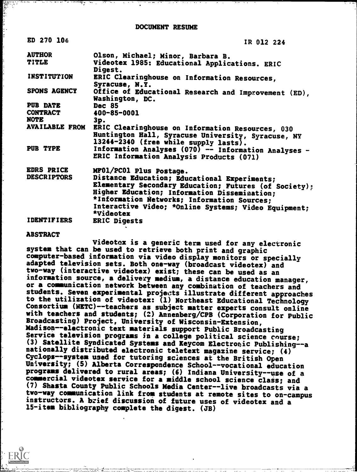| BU 270 100            | IR 012 224                                                                                                                                      |
|-----------------------|-------------------------------------------------------------------------------------------------------------------------------------------------|
| <b>AUTHOR</b>         | Olson, Michael; Minor, Barbara B.                                                                                                               |
| TITLE                 | Videotex 1985: Educational Applications. ERIC<br>Digest.                                                                                        |
| INSTITUTION           | ERIC Clearinghouse on Information Resources,<br>Syracuse, N.Y.                                                                                  |
| SPONS AGENCY          | Office of Educational Research and Improvement (ED),<br>Washington, DC.                                                                         |
| PUB DATE              | <b>Dec 85</b>                                                                                                                                   |
| <b>CONTRACT</b>       | 400-85-0001                                                                                                                                     |
| <b>NOTE</b>           | 3p.                                                                                                                                             |
| <b>AVAILABLE FROM</b> | ERIC Clearinghouse on Information Resources, 030<br>Huntington Hall, Syracuse University, Syracuse, NY<br>13244-2340 (free while supply lasts). |
| <b>PUB TYPE</b>       | Information Analyses (070) -- Information Analyses -<br>ERIC Information Analysis Products (071)                                                |
| <b>EDRS PRICE</b>     | MF01/PC01 Plus Postage.                                                                                                                         |
| <b>DESCRIPTORS</b>    | Distance Education; Educational Experiments;                                                                                                    |
|                       | Elementary Secondary Education; Futures (of Society);                                                                                           |
|                       | Higher Education; Information Dissemination;                                                                                                    |
|                       | *Information Networks; Information Sources;                                                                                                     |
|                       | Interactive Video; *Online Systems; Video Equipment;<br>*Videotex                                                                               |
| <b>IDENTIFIERS</b>    | ERIC Digests                                                                                                                                    |
|                       |                                                                                                                                                 |

### ABSTRACT

STA 104

Videotex is a generic term used for any electronic system that can be used to retrieve both print and graphic computer-based information via video display monitors or specially adapted television sets. Both one-way (broadcast videotex) and two-way (interactive videotex) exist; these can be used as an information source, a delivery medium, a distance education manager, or a communication network between any combination of teachers and students. Seven experimental projects illustrate different approaches to the utilization of videotex: (1) Northeast Educational Technology Consortium (NETC)--teachers as subject matter experts consult online with teachers and students; (2) Annenberg/CPB (Corporation for Public Broadcasting) Project, University of Wisconsin-Extension, Madison--electronic text materials support Public Broadcasting Service television programs in a college political science course; (3) Satellite Syndicated Systems and Keycom Electronic Publishing--a nationally distributed electronic teletext magazine service; (4) Cyclops--system used for tutoring sciences at the British Open University; (5) Alberta Correspondence School--vocational education programs delivered to rural areas; (6) Indiana University--use of a commercial videotex service for a middle school science class; and (7) Shasta County Public Schools Media Center--live broadcasts via a two-way communication link from students at remote sites to on-campus instructors. A brief discussion of future uses of videotex and a 15-item bibliography complete the digest. (JB)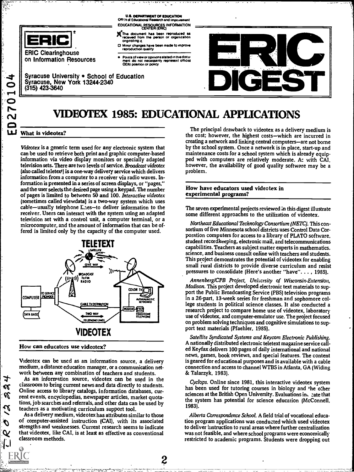

ERIC Clearinghouse on Information Resources Ofters of Educational Research and Impi EDUCATIONAL RESOURCES INFORMATION<br>CENTER (ERIC) **U.S. DEPARTMENT OF EDUCATION** 

- originating it
- O Minor changes have been made to improve reproduction duality
- Points of view or opinions stated in this docu<del>l</del><br>ment ido inot inecessarily represent official<br>OERI position or policy

(315) 423-3640 DImEST

◯ Syracuse, New York 13244-2340<br>◯ (315) 423-3640 Syracuse University . School of Education

# VIDEOTEX 1985: EDUCATIONAL APPLICATIONS

## What is videotex?

**C** ——

, w N-

 $\downarrow$ K U

 $\boldsymbol{\mathcal{U}}$ 

O Q Videotex is a generic term used for any electronic system that can be used to retrieve both print and graphic computer-based information via video display monitors or specially adapted television sets. There are two levels of service. Broadcast videotex (also called teletext) is a one-way delivery service which delivers information from a computer to a receiver via radio waves. Information is presented in a series of screen displays, or "pages," and the user selects the desired page using a keypad. The number of pages is limited to between 50 and 100. Interactive videotex (sometimes called viewdata) is a two-way system which uses cable-usually telephone E.tes-to deliver information to the receiver. Users can interact with the system using an adapted television set with a control unit, a computer terminal, or a microcomputer, and the amount of information that can be offered is limited only by the capacity of the computer used.



How can educators use videotex?

Videotex can be used as an information source, a delivery medium, a distance education manager, or a communication network between any combination of teachers and students.

As an information source, videotex can be used in the classroom to bring current news and data directly to students. Online access to library catalogs, information databases, current events, encyclopedias, newspaper articles, market quotations, job searches and referrals, and other data can be used by teachers as a motivating curriculum support tool.

As a delivery medium, videotex has attributes similar to those of computer-assisted instruction (CM), with its associated strengths and weaknesses. Current research seems to indicate that videotex, like CAI, is at least as effective as conventional classroom methods.

2

The principal drawback to videotex as a delivery medium is the cost; however, the highest costs-which are incurred in creating a network and linking central computers-are not borne by the school system. Once a network is in place, start-up and maintenance costs for a school system which is already equipped with computers are relatively moderate. A: with CAI. however, the availability of good quality software may be a problem.

#### How have educators used videotex in experimental programs?

The seven experimental projects reviewed 'in this digest illustrate some different approaches to the utilization of videotex.

Northeast Educational Technology Consortium INETC). This consortium of five Minnesota school districts uses Control Data Corporation computers for access to a library of PLATO software. student recordkeeping, electronic mail, and telecommunications capabilities. Teachers as subject matter experts in mathematics. science, and business consult online with teachers and students. This project demonstrates the potential of videotex for enabling small rural districts to provide diverse curriculum and resist pressures to consolidate (Here's another "have". . . , 1985).

Annenberg/CPB Project, Univzrsity of Wisconsin-Extension, Madison. This project developed electronic text materials to support the Public Broadcasting Service (PBS) television programs in a 26-part, 13-week series for freshman and sophomore college students in political science classes. It also conducted a research project to compare home use of videotex, laboratory use of videotex, and computer-emulator use. The project focused on problem solving techniques and cognitive simulations to support text materials (Pfaehler, 1985).

Satellite Syndicated Systems and Keycom Electronic Publishing. A nationally distributed electronic teletext magazine service called Keyfax delivers 100 pages of daily international and national news, games, book reviews, and speciai features. The content is geared for educational purposes and is available with a cable connection and access to channel WTBS in Atlanta, GA (Widing & Talarzyk, 1983).

Cyclops. Online since 1981, this interactive videotex system has been used for tutoring courses in biology and the other sciences at the British Open University. Evaluations ind cate that the system has potential for science education (McConnell, 1983).

Alberta Correspondence School. A field trial of vocational education program applications was conducted which used videotex to deliver instruction to rural areas where further centralization was not feasible, and where school programs were economically restricted to academic programs. Students were dropping out